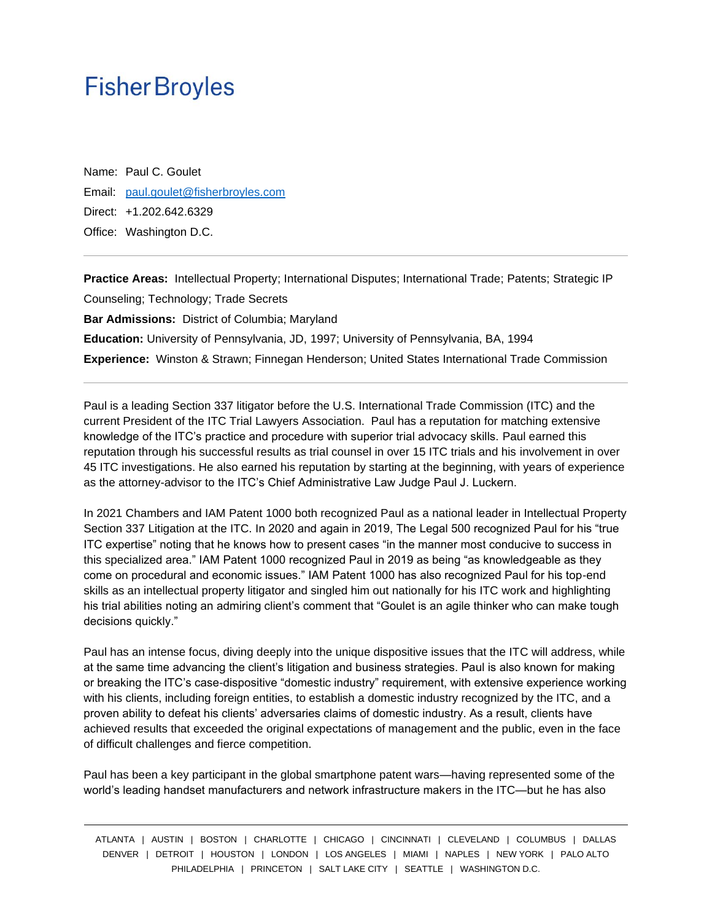Name: Paul C. Goulet Email: [paul.goulet@fisherbroyles.com](mailto:paul.goulet@fisherbroyles.com) Direct: +1.202.642.6329 Office: Washington D.C.

**Practice Areas:** Intellectual Property; International Disputes; International Trade; Patents; Strategic IP Counseling; Technology; Trade Secrets **Bar Admissions:** District of Columbia; Maryland **Education:** University of Pennsylvania, JD, 1997; University of Pennsylvania, BA, 1994 **Experience:** Winston & Strawn; Finnegan Henderson; United States International Trade Commission

Paul is a leading Section 337 litigator before the U.S. International Trade Commission (ITC) and the current President of the ITC Trial Lawyers Association. Paul has a reputation for matching extensive knowledge of the ITC's practice and procedure with superior trial advocacy skills. Paul earned this reputation through his successful results as trial counsel in over 15 ITC trials and his involvement in over 45 ITC investigations. He also earned his reputation by starting at the beginning, with years of experience as the attorney-advisor to the ITC's Chief Administrative Law Judge Paul J. Luckern.

In 2021 Chambers and IAM Patent 1000 both recognized Paul as a national leader in Intellectual Property Section 337 Litigation at the ITC. In 2020 and again in 2019, The Legal 500 recognized Paul for his "true ITC expertise" noting that he knows how to present cases "in the manner most conducive to success in this specialized area." IAM Patent 1000 recognized Paul in 2019 as being "as knowledgeable as they come on procedural and economic issues." IAM Patent 1000 has also recognized Paul for his top-end skills as an intellectual property litigator and singled him out nationally for his ITC work and highlighting his trial abilities noting an admiring client's comment that "Goulet is an agile thinker who can make tough decisions quickly."

Paul has an intense focus, diving deeply into the unique dispositive issues that the ITC will address, while at the same time advancing the client's litigation and business strategies. Paul is also known for making or breaking the ITC's case-dispositive "domestic industry" requirement, with extensive experience working with his clients, including foreign entities, to establish a domestic industry recognized by the ITC, and a proven ability to defeat his clients' adversaries claims of domestic industry. As a result, clients have achieved results that exceeded the original expectations of management and the public, even in the face of difficult challenges and fierce competition.

Paul has been a key participant in the global smartphone patent wars—having represented some of the world's leading handset manufacturers and network infrastructure makers in the ITC—but he has also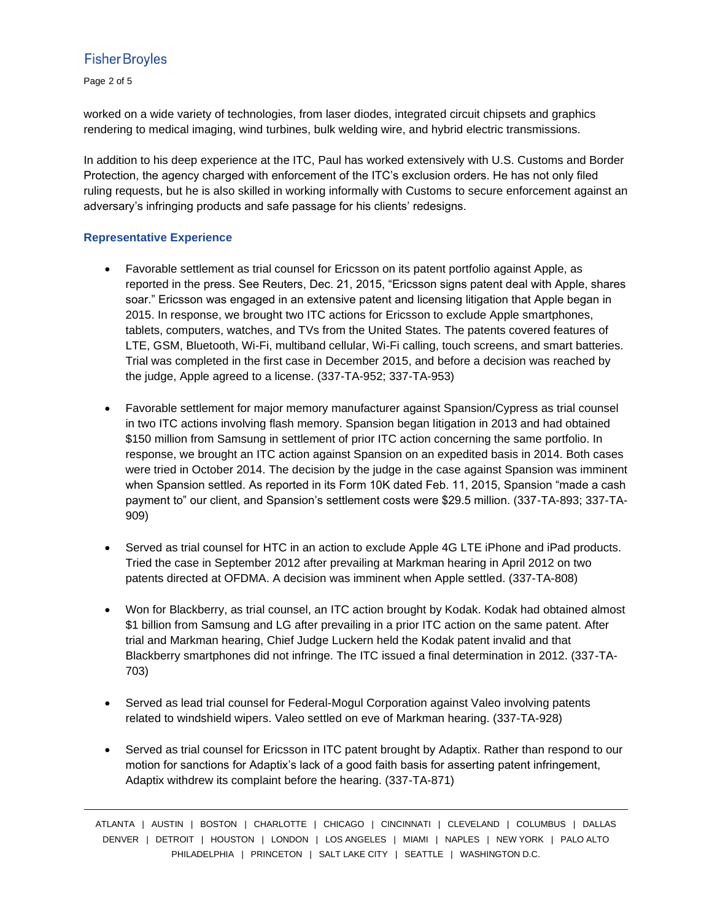Page 2 of 5

worked on a wide variety of technologies, from laser diodes, integrated circuit chipsets and graphics rendering to medical imaging, wind turbines, bulk welding wire, and hybrid electric transmissions.

In addition to his deep experience at the ITC, Paul has worked extensively with U.S. Customs and Border Protection, the agency charged with enforcement of the ITC's exclusion orders. He has not only filed ruling requests, but he is also skilled in working informally with Customs to secure enforcement against an adversary's infringing products and safe passage for his clients' redesigns.

#### **Representative Experience**

- Favorable settlement as trial counsel for Ericsson on its patent portfolio against Apple, as reported in the press. See Reuters, Dec. 21, 2015, "Ericsson signs patent deal with Apple, shares soar." Ericsson was engaged in an extensive patent and licensing litigation that Apple began in 2015. In response, we brought two ITC actions for Ericsson to exclude Apple smartphones, tablets, computers, watches, and TVs from the United States. The patents covered features of LTE, GSM, Bluetooth, Wi-Fi, multiband cellular, Wi-Fi calling, touch screens, and smart batteries. Trial was completed in the first case in December 2015, and before a decision was reached by the judge, Apple agreed to a license. (337-TA-952; 337-TA-953)
- Favorable settlement for major memory manufacturer against Spansion/Cypress as trial counsel in two ITC actions involving flash memory. Spansion began litigation in 2013 and had obtained \$150 million from Samsung in settlement of prior ITC action concerning the same portfolio. In response, we brought an ITC action against Spansion on an expedited basis in 2014. Both cases were tried in October 2014. The decision by the judge in the case against Spansion was imminent when Spansion settled. As reported in its Form 10K dated Feb. 11, 2015, Spansion "made a cash payment to" our client, and Spansion's settlement costs were \$29.5 million. (337-TA-893; 337-TA-909)
- Served as trial counsel for HTC in an action to exclude Apple 4G LTE iPhone and iPad products. Tried the case in September 2012 after prevailing at Markman hearing in April 2012 on two patents directed at OFDMA. A decision was imminent when Apple settled. (337-TA-808)
- Won for Blackberry, as trial counsel, an ITC action brought by Kodak. Kodak had obtained almost \$1 billion from Samsung and LG after prevailing in a prior ITC action on the same patent. After trial and Markman hearing, Chief Judge Luckern held the Kodak patent invalid and that Blackberry smartphones did not infringe. The ITC issued a final determination in 2012. (337-TA-703)
- Served as lead trial counsel for Federal-Mogul Corporation against Valeo involving patents related to windshield wipers. Valeo settled on eve of Markman hearing. (337-TA-928)
- Served as trial counsel for Ericsson in ITC patent brought by Adaptix. Rather than respond to our motion for sanctions for Adaptix's lack of a good faith basis for asserting patent infringement, Adaptix withdrew its complaint before the hearing. (337-TA-871)

ATLANTA | AUSTIN | BOSTON | CHARLOTTE | CHICAGO | CINCINNATI | CLEVELAND | COLUMBUS | DALLAS DENVER | DETROIT | HOUSTON | LONDON | LOS ANGELES | MIAMI | NAPLES | NEW YORK | PALO ALTO PHILADELPHIA | PRINCETON | SALT LAKE CITY | SEATTLE | WASHINGTON D.C.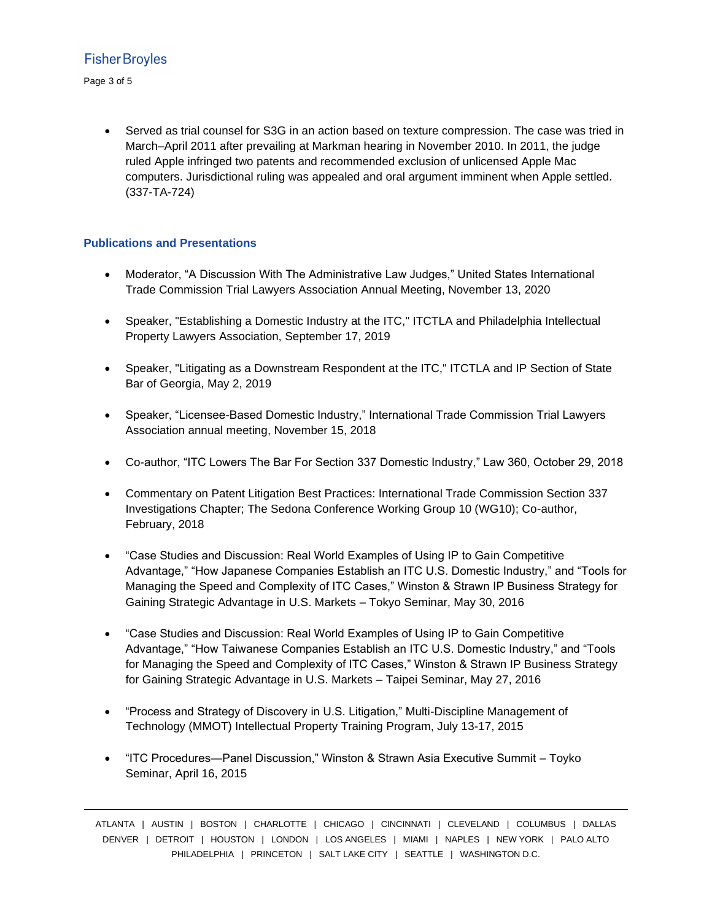Page 3 of 5

• Served as trial counsel for S3G in an action based on texture compression. The case was tried in March–April 2011 after prevailing at Markman hearing in November 2010. In 2011, the judge ruled Apple infringed two patents and recommended exclusion of unlicensed Apple Mac computers. Jurisdictional ruling was appealed and oral argument imminent when Apple settled. (337-TA-724)

#### **Publications and Presentations**

- Moderator, "A Discussion With The Administrative Law Judges," United States International Trade Commission Trial Lawyers Association Annual Meeting, November 13, 2020
- Speaker, "Establishing a Domestic Industry at the ITC," ITCTLA and Philadelphia Intellectual Property Lawyers Association, September 17, 2019
- Speaker, "Litigating as a Downstream Respondent at the ITC," ITCTLA and IP Section of State Bar of Georgia, May 2, 2019
- Speaker, "Licensee-Based Domestic Industry," International Trade Commission Trial Lawyers Association annual meeting, November 15, 2018
- Co-author, "ITC Lowers The Bar For Section 337 Domestic Industry," Law 360, October 29, 2018
- Commentary on Patent Litigation Best Practices: International Trade Commission Section 337 Investigations Chapter; The Sedona Conference Working Group 10 (WG10); Co-author, February, 2018
- "Case Studies and Discussion: Real World Examples of Using IP to Gain Competitive Advantage," "How Japanese Companies Establish an ITC U.S. Domestic Industry," and "Tools for Managing the Speed and Complexity of ITC Cases," Winston & Strawn IP Business Strategy for Gaining Strategic Advantage in U.S. Markets – Tokyo Seminar, May 30, 2016
- "Case Studies and Discussion: Real World Examples of Using IP to Gain Competitive Advantage," "How Taiwanese Companies Establish an ITC U.S. Domestic Industry," and "Tools for Managing the Speed and Complexity of ITC Cases," Winston & Strawn IP Business Strategy for Gaining Strategic Advantage in U.S. Markets – Taipei Seminar, May 27, 2016
- "Process and Strategy of Discovery in U.S. Litigation," Multi-Discipline Management of Technology (MMOT) Intellectual Property Training Program, July 13-17, 2015
- "ITC Procedures—Panel Discussion," Winston & Strawn Asia Executive Summit Toyko Seminar, April 16, 2015

ATLANTA | AUSTIN | BOSTON | CHARLOTTE | CHICAGO | CINCINNATI | CLEVELAND | COLUMBUS | DALLAS DENVER | DETROIT | HOUSTON | LONDON | LOS ANGELES | MIAMI | NAPLES | NEW YORK | PALO ALTO PHILADELPHIA | PRINCETON | SALT LAKE CITY | SEATTLE | WASHINGTON D.C.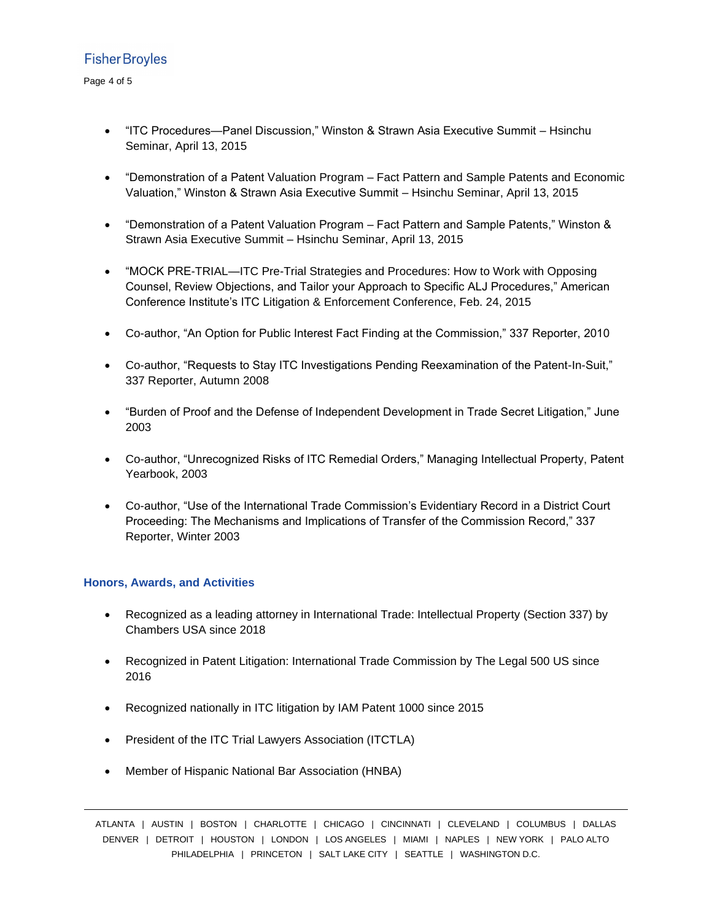- "ITC Procedures—Panel Discussion," Winston & Strawn Asia Executive Summit Hsinchu Seminar, April 13, 2015
- "Demonstration of a Patent Valuation Program Fact Pattern and Sample Patents and Economic Valuation," Winston & Strawn Asia Executive Summit – Hsinchu Seminar, April 13, 2015
- "Demonstration of a Patent Valuation Program Fact Pattern and Sample Patents," Winston & Strawn Asia Executive Summit – Hsinchu Seminar, April 13, 2015
- "MOCK PRE-TRIAL—ITC Pre-Trial Strategies and Procedures: How to Work with Opposing Counsel, Review Objections, and Tailor your Approach to Specific ALJ Procedures," American Conference Institute's ITC Litigation & Enforcement Conference, Feb. 24, 2015
- Co-author, "An Option for Public Interest Fact Finding at the Commission," 337 Reporter, 2010
- Co-author, "Requests to Stay ITC Investigations Pending Reexamination of the Patent-In-Suit," 337 Reporter, Autumn 2008
- "Burden of Proof and the Defense of Independent Development in Trade Secret Litigation," June 2003
- Co-author, "Unrecognized Risks of ITC Remedial Orders," Managing Intellectual Property, Patent Yearbook, 2003
- Co-author, "Use of the International Trade Commission's Evidentiary Record in a District Court Proceeding: The Mechanisms and Implications of Transfer of the Commission Record," 337 Reporter, Winter 2003

#### **Honors, Awards, and Activities**

- Recognized as a leading attorney in International Trade: Intellectual Property (Section 337) by Chambers USA since 2018
- Recognized in Patent Litigation: International Trade Commission by The Legal 500 US since 2016
- Recognized nationally in ITC litigation by IAM Patent 1000 since 2015
- President of the ITC Trial Lawyers Association (ITCTLA)
- Member of Hispanic National Bar Association (HNBA)